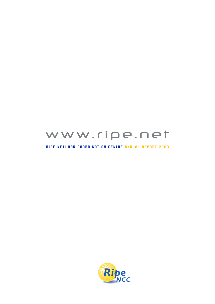

#### **RIPE NETWORK COORDINATION CENTRE ANNUAL REPORT 2003**

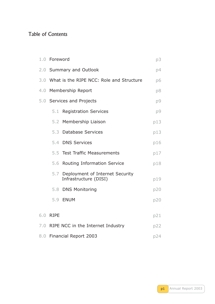### Table of Contents

|     | 1.0 Foreword |                                                              | p3  |
|-----|--------------|--------------------------------------------------------------|-----|
|     |              | 2.0 Summary and Outlook                                      | p4  |
|     |              | 3.0 What is the RIPE NCC: Role and Structure                 | p6  |
|     |              | 4.0 Membership Report                                        | p8  |
|     |              | 5.0 Services and Projects                                    | p9  |
|     | 5.1          | <b>Registration Services</b>                                 | p9  |
|     |              | 5.2 Membership Liaison                                       | p13 |
|     |              | 5.3 Database Services                                        | p13 |
|     |              | 5.4 DNS Services                                             | p16 |
|     |              | 5.5 Test Traffic Measurements                                | p17 |
|     |              | 5.6 Routing Information Service                              | p18 |
|     |              | 5.7 Deployment of Internet Security<br>Infrastructure (DISI) | p19 |
|     |              | 5.8 DNS Monitoring                                           | p20 |
|     |              | 5.9 ENUM                                                     | p20 |
| 6.0 | <b>RIPE</b>  |                                                              | p21 |
|     |              |                                                              |     |
|     |              | 7.0 RIPE NCC in the Internet Industry                        | p22 |
|     |              | 8.0 Financial Report 2003                                    | p24 |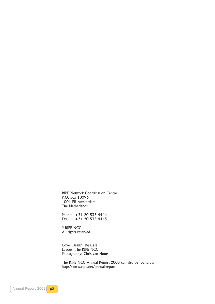RIPE Network Coordination Centre P.O. Box 10096 1001 EB Amsterdam The Netherlands

Phone: +31 20 535 4444 Fax: +31 20 535 4445

© RIPE NCC All rights reserved.

Cover Design: De Case Layout: The RIPE NCC Photography: Chris van Houts

The RIPE NCC Annual Report 2003 can also be found at: http://www.ripe.net/annual-report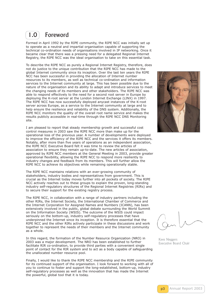## <span id="page-3-0"></span>1.0 Foreword

Formed in April 1992 by the RIPE community, the RIPE NCC was initially set up to operate as a neutral and impartial organisation capable of supporting the technical co-ordination needs of organisations involved in IP networking. Once it became clear that there was a pressing need for a delegated Regional Internet Registry, the RIPE NCC was the ideal organisation to take on this essential task.

To describe the RIPE NCC as purely a Regional Internet Registry, therefore, does not do justice to the unique contribution that the RIPE NCC has made to the global Internet community since its inception. Over the last ten years the RIPE NCC has been successful in providing the allocation of Internet number resources to its members, as well as technical co-ordination and information services to the Internet community at large. This has been possible due to the nature of the organisation and its ability to adapt and introduce services to meet the changing needs of its members and other stakeholders. The RIPE NCC was able to respond effectively to the need for a second root server in Europe by deploying the K-root server at the London Internet Exchange (LINX) in 1997. The RIPE NCC has now successfully deployed anycast instances of the K-root server across Europe, as a service to the Internet community at large and to help ensure the resilience and reliability of the DNS system. Additionally, the RIPE NCC monitors the quality of the overall root name service and makes the results publicly accessible in real-time through the RIPE NCC DNS Monitoring site.

I am pleased to report that steady membership growth and successful cost control measures in 2003 saw the RIPE NCC more than make up for the operational loss of the previous year. A number of developments were deployed to improve the efficiency of the RIPE NCC and the services it offers its members. Notably, after more than five years of operations as an independent association, the RIPE NCC Executive Board felt it was time to review the articles of association to ensure they remain up-to-date. The new articles of association, approved by RIPE NCC members at the General Meeting in 2003, provide greater operational flexibility, allowing the RIPE NCC to respond more resiliently to industry changes and feedback from its members. This will further allow the RIPE NCC to achieve its objectives while remaining operationally stable.

The RIPE NCC maintains relations with an ever-growing community of stakeholders, industry bodies and representatives from government. This is crucial as the Internet today moves further into all pockets of society. The RIPE NCC actively reaches out to these groups to explain the proven, long-standing industry self-regulatory structures of the Regional Internet Registries (RIRs) and to secure their support for the existing registry process.

The RIPE NCC, in collaboration with a range of industry partners including the other RIRs, the Internet Society, the International Chamber of Commerce and the Internet Corporation for Assigned Names and Numbers (ICANN), has been extensively involved in the public, global debate surrounding the World Summit on the Information Society (WSIS). The outcome of the WSIS could impact seriously on the bottom-up, industry self-regulatory processes that have underpinned the Internet since its inception. It is therefore essential that the RIPE NCC and the other RIRs actively participate in these discussions and work together to represent the needs of their members and the Internet community as a whole.

In this regard, the formation of the Number Resource Organization (NRO) in 2003 was a major development. The NRO has been established to further facilitate RIR co-ordination, to provide third parties with a convenient single point of contact for the RIR system and to act as a body capable of safeguarding the unallocated number resource pool.

Finally, I would like to thank the RIPE NCC membership and the RIPE community for its continued support of the organisation. I look forward to working with all of you to continue to foster and support the long-established, bottom-up, industry self-regulatory processes as well as the innovation that has made the Internet the powerful, global tool that it is today.



Kees Neggers Executive Board Chair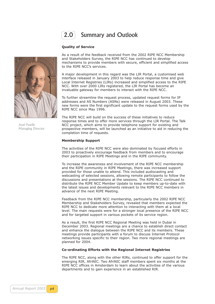

2.0 Summary and Outlook

#### **Quality of Service**

<span id="page-4-0"></span>

Axel Pawlik Managing Director

As a result of the feedback received from the 2002 RIPE NCC Membership and Stakeholders Survey, the RIPE NCC has continued to develop mechanisms to provide members with secure, efficient and simplified access to the RIPE NCC's services.

A major development in this regard was the LIR Portal, a customised web interface released in January 2003 to help reduce response time and give Local Internet Registries (LIRs) increased and simplified access to the RIPE NCC. With over 2000 LIRs registered, the LIR Portal has become an invaluable gateway for members to interact with the RIPE NCC.

To further streamline the request process, updated request forms for IP addresses and AS Numbers (ASNs) were released in August 2003. These new forms were the first significant update to the request forms used by the RIPE NCC since May 1996.

The RIPE NCC will build on the success of these initiatives to reduce response times and to offer more services through the LIR Portal. The Talk NCC project, which aims to provide telephone support for existing and prospective members, will be launched as an initiative to aid in reducing the completion time of requests.

#### **Membership Support**

The activities of the RIPE NCC were also dominated by focused efforts in 2003 to proactively encourage feedback from members and to encourage their participation in RIPE Meetings and in the RIPE community.

To increase the awareness and involvement of the RIPE NCC membership and the RIPE community in RIPE Meetings, there was increased support provided for those unable to attend. This included audiocasting and webcasting of selected sessions, allowing remote participants to follow the discussions and presentations at the sessions. The RIPE NCC continued to distribute the RIPE NCC Member Update to keep members up-to-date with the latest issues and developments relevant to the RIPE NCC members in advance of the next RIPE Meeting.

Feedback from the RIPE NCC membership, particularly the 2002 RIPE NCC Membership and Stakeholders Survey, revealed that members expected the RIPE NCC to dedicate more attention to interacting with them at a local level. The main requests were for a stronger local presence of the RIPE NCC and for targeted support in various pockets of its service region.

As a result, the first RIPE NCC Regional Meeting was held in Dubai in December 2003. Regional meetings are a chance to establish direct contact and enhance the dialogue between the RIPE NCC and its members. These meetings provide participants with a forum to discuss Internet Protocol networking issues specific to their region. Two more regional meetings are planned for 2004.

#### **Co-ordinating Efforts with the Regional Internet Registries**

The RIPE NCC, along with the other RIRs, continued to offer support for the emerging RIR, AfriNIC. Two AfriNIC staff members spent six months at the RIPE NCC offices in Amsterdam to learn about the activities of the various departments and to gain experience in an established RIR.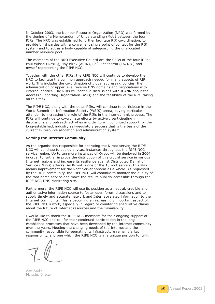In October 2003, the Number Resource Organization (NRO) was formed by the signing of a Memorandum of Understanding (MoU) between the four RIRs. The NRO was established to further facilitate RIR co-ordination, to provide third parties with a convenient single point of contact for the RIR system and to act as a body capable of safeguarding the unallocated number resource pool.

The members of the NRO Executive Council are the CEOs of the four RIRs: Paul Wilson (APNIC), Ray Plzak (ARIN), Raúl Echeberría (LACNIC) and myself representing the RIPE NCC.

Together with the other RIRs, the RIPE NCC will continue to develop the NRO to facilitate the common approach needed for many aspects of RIR work. This includes the co-ordination of global addressing policies, the administration of upper level reverse DNS domains and negotiations with external entities. The RIRs will continue discussions with ICANN about the Address Supporting Organization (ASO) and the feasibility of the NRO taking on this task.

The RIPE NCC, along with the other RIRs, will continue to participate in the World Summit on Information Society (WSIS) arena, paying particular attention to increasing the role of the RIRs in the inter-summit process. The RIRs will continue to co-ordinate efforts by actively participating in discussions and outreach activities in order to win continued support for the long-established, industry self-regulatory process that is the basis of the current IP resource allocation and administration system.

#### **Serving the Internet Community**

As the organisation responsible for operating the K-root server, the RIPE NCC will continue to deploy anycast instances throughout the RIPE NCC service region. Up to ten more instances of K-root will be deployed in 2004 in order to further improve the distribution of this crucial service in various Internet regions and increase its resilience against Distributed Denial of Service (DDoS) attacks. As K-root is one of the 13 root servers, this also means improvement for the Root Server System as a whole. As requested by the RIPE community, the RIPE NCC will continue to monitor the quality of the root name service and make the results publicly accessible through the RIPE NCC DNS Monitoring site.

Furthermore, the RIPE NCC will use its position as a neutral, credible and authoritative information source to foster open forum discussions and to supply timely and accurate network and Internet-related information to the Internet community. This is becoming an increasingly important aspect of the RIPE NCC's work, especially in regard to countering speculative claims about the future of Internet resources and their availability.

I would like to thank the RIPE NCC members for their ongoing support of the RIPE NCC and call for their continued participation in the longestablished processes that have been developed by the Internet community over the years. Meeting the changing needs of the Internet and the community responsible for operating its infrastructure remains a key responsibility, and one which the RIPE NCC is in a unique position to fulfil.

Axel Pawlik Managing Director

p5 Annual Report 2003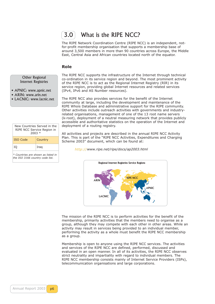3.0 What is the RIPE NCC?

The RIPE Network Coordination Centre (RIPE NCC) is an independent, notfor-profit membership organisation that supports a membership base of around 3,500 members in more than 90 countries across Europe, the Middle East, Central Asia and African countries located north of the equator.

#### **Role**

Other Regional Internet Registries

- <span id="page-6-0"></span>• APNIC: www.apnic.net
- ARIN: www.arin.net
- LACNIC: www.lacnic.net

| New Countries Served in the<br>RIPE NCC Service Region in<br>$2003 *$ |  |  |  |  |  |
|-----------------------------------------------------------------------|--|--|--|--|--|
| <b>ISO Code</b><br>Country                                            |  |  |  |  |  |
| ΙO<br>Iraq                                                            |  |  |  |  |  |
| * Countries are shown as listed in<br>the ISO 3166 country code list. |  |  |  |  |  |

The RIPE NCC supports the infrastructure of the Internet through technical co-ordination in its service region and beyond. The most prominent activity of the RIPE NCC is to act as the Regional Internet Registry (RIR) in its service region, providing global Internet resources and related services (IPv4, IPv6 and AS Number resources).

The RIPE NCC also provides services for the benefit of the Internet community at large, including the development and maintenance of the RIPE Whois Database and administrative support for the RIPE community. Other activities include outreach activities with governments and industryrelated organisations, management of one of the 13 root name servers (k-root), deployment of a neutral measuring network that provides publicly accessible and authoritative statistics on the operation of the Internet and deployment of a routing registry.

All activities and projects are described in the annual RIPE NCC Activity Plan. This is part of the "RIPE NCC Activities, Expenditures and Charging Scheme 2003" document, which can be found at:

*http:// http://www.ripe.net/ripe/docs/ap2003.html*



The mission of the RIPE NCC is to perform activities for the benefit of the membership, primarily activities that the members need to organise as a group, although they may compete with each other in other areas. While an activity may result in services being provided to an individual member, performing the activity as a whole must benefit the RIPE NCC membership as a group.

Membership is open to anyone using the RIPE NCC services. The activities and services of the RIPE NCC are defined, performed, discussed and evaluated in an open manner. In all of its activities, the RIPE NCC observes strict neutrality and impartiality with regard to individual members. The RIPE NCC membership consists mainly of Internet Service Providers (ISPs), telecommunication organisations and large corporations.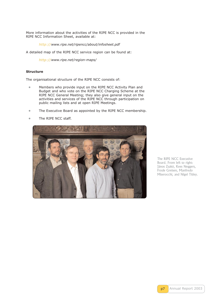More information about the activities of the RIPE NCC is provided in the RIPE NCC Information Sheet, available at:

*http:// http://www.ripe.net/ripencc/about/infosheet.pdf*

A detailed map of the RIPE NCC service region can be found at:

*http:// [http://www.ripe.net/region-maps/](http://www.ripe.net/ripencc/about/infosheet.pdf)*

#### **Structure**

The org[anisatio](http://)[nal structure of the RIPE NC](http://www.ripe.net/region-maps/)C consists of:

- **•** Members who provide input on the RIPE NCC Activity Plan and Budget and who vote on the RIPE NCC Charging Scheme at the RIPE NCC General Meeting; they also give general input on the activities and services of the RIPE NCC through participation on public mailing lists and at open RIPE Meetings.
- **•** The Executive Board as appointed by the RIPE NCC membership.
- **•** The RIPE NCC staff.



The RIPE NCC Executive Board. From left to right: János Zsakó, Kees Neggers, Frode Greisen, Manfredo Miserocchi, and Nigel Titley.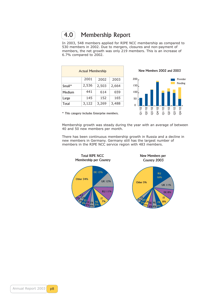### 4.0 Membership Report

<span id="page-8-0"></span>In 2003, 548 members applied for RIPE NCC membership as compared to 530 members in 2002. Due to mergers, closures and non-payment of members, the net growth was only 219 members. This is an increase of 6.7% compared to 2002.

| <b>Actual Membership</b>         |       |       |       |  |  |  |
|----------------------------------|-------|-------|-------|--|--|--|
| 2001<br>2002<br>2003             |       |       |       |  |  |  |
| $Small*$                         | 2,536 | 2,503 | 2,664 |  |  |  |
| Medium                           | 441   | 614   | 659   |  |  |  |
| Large                            | 145   | 152   | 165   |  |  |  |
| Total<br>3,122<br>3,269<br>3,488 |       |       |       |  |  |  |

New Members 2002 and 2003



\* This category includes Enterprise members.

Membership growth was steady during the year with an average of between 40 and 50 new members per month.

There has been continuous membership growth in Russia and a decline in new members in Germany. Germany still has the largest number of members in the RIPE NCC service region with 483 members.

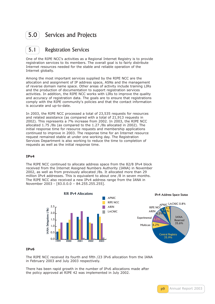### <span id="page-9-0"></span>5.0 Services and Projects

### **5.1** Registration Services

One of the RIPE NCC's activities as a Regional Internet Registry is to provide registration services to its members. The overall goal is to fairly distribute Internet resources needed for the stable and reliable operation of the Internet globally.

Among the most important services supplied by the RIPE NCC are the allocation and assignment of IP address space, ASNs and the management of reverse domain name space. Other areas of activity include training LIRs and the production of documentation to support registration services activities. In addition, the RIPE NCC works with LIRs to improve the quality and accuracy of registration data. The goals are to ensure that registrations comply with the RIPE community's policies and that the contact information is accurate and up-to-date.

In 2003, the RIPE NCC processed a total of 23,535 requests for resources and related assistance (as compared with a total of 21,913 requests in 2002). This represents a 7% increase from 2002. In 2003, the RIPE NCC allocated 1.75 /8s (as compared to the 1.27 /8s allocated in 2002). The initial response time for resource requests and membership applications continued to improve in 2003. The response time for an Internet resource request remained stable at under one working day. The Registration Services Department is also working to reduce the time to completion of requests as well as the initial response time.

#### **IPv4**

The RIPE NCC continued to allocate address space from the 82/8 IPv4 block received from the Internet Assigned Numbers Authority (IANA) in November 2002, as well as from previously allocated /8s. It allocated more than 29 million IPv4 addresses. This is equivalent to about one /8 in seven months. The RIPE NCC also received a new IPv4 address range from the IANA in November 2003 - [83.0.0.0 – 84.255.255.255].



#### **IPv6**

The RIPE NCC received its fourth and fifth /23 IPv6 allocation from the IANA in February 2003 and July 2003 respectively.

There has been rapid growth in the number of IPv6 allocations made after the policy approved at RIPE 42 was implemented in July 2002.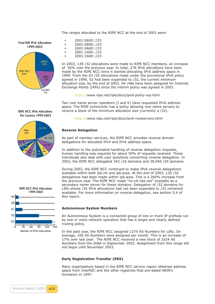#### The ranges allocated to the RIPE NCC at the end of 2003 were:



| $\bullet$ | 2001:0600::/23 |
|-----------|----------------|
| $\bullet$ | 2001:0800::/23 |
| ٠         | 2001:0A00::/23 |
| $\bullet$ | 2001:1400::/23 |
| $\bullet$ | 2001:1600::/23 |

In 2003, 139 /32 allocations were made to RIPE NCC members, an increase of 56% over the previous year. In total, 278 IPv6 allocations have been made by the RIPE NCC since it started allocating IPv6 address space in 1999. From the 63 /35 allocations made under the provisional IPv6 policy agreed in 1999, 52 had been expanded to /32, the current minimum allocation size, by the end of 2003. 64 /48s have been assigned for Internet Exchange Points (IXPs) since the interim policy was agreed in 2001.

*http:// http://www.ripe.net/ripe/docs/ipv6-policy-ixp.html* 

Two root name server operators (I and K) have requested IPv6 address space. The RIPE community has a policy allowing root name servers to receive [a](http://www.ripe.net/ripe/docs/ipv6-policy-ixp.html) [block](http://) [of the minimum allocation size \(currently a](http://www.ripe.net/ripe/docs/ipv6-policy-ixp.html) /32).

*http:// http://www.ripe.net/ripe/docs/ipv6-rootservers.html*

#### **Reverse Delegation**

As part [of mem](http://)[ber services, the RIPE NCC provides reverse d](http://www.ripe.net/ripe/docs/ipv6-rootservers.html)omain delegations for allocated IPv4 and IPv6 address space.

In addition to the automated handling of reverse delegation requests, human handling was required for about 50% of requests received. These individuals also deal with user questions concerning reverse delegation. In 2003, the RIPE NCC delegated 342 /16 domains and 38,946 /24 domains.

During 2003, the RIPE NCC continued to make IPv6 reverse delegations available within both ip6.int and ip6.arpa. At the end of 2003, 130 /32 delegations had been made within ip6.arpa. This is a 260% increase from the previous year. The RIPE NCC made "ns-v6.ripe.net" available as a secondary name server for these domains. Delegation of /32 domains for LIRs whose /35 IPv6 allocations had not been expanded to /32 remained available. For more information on reverse delegation, see section 5.4 of this report.

#### **Autonomous System Numbers**

An Autonomous System is a connected group of one or more IP prefixes run by one or more network operators that has a single and clearly defined routing policy.

In the past year, the RIPE NCC assigned 1275 AS Numbers for LIRs. On average, 106 AS Numbers were assigned per month. This is an increase of 17% over last year. The RIPE NCC received a new block of 1024 AS Numbers from the IANA in September 2003. Assignment from this range did not begin until November 2003.

#### **Early Registration Transfer (ERX)**

Many organisations based in the RIPE NCC service region obtained address space from InterNIC and the other registries that pre-dated ARIN's formation in 1997.

RIPE NCC IPv6 Allocations Per Country 1999-2003



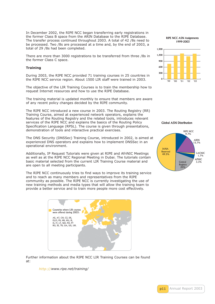In December 2002, the RIPE NCC began transferring early registrations in the former Class B space from the ARIN Database to the RIPE Database. The transfer process continued throughout 2003. A total of 42 /8s need to be processed. Two /8s are processed at a time and, by the end of 2003, a total of 29 /8s had been completed.

There are more than 3000 registrations to be transferred from three /8s in the former Class C space.

#### **Training**

During 2003, the RIPE NCC provided 71 training courses in 25 countries in the RIPE NCC service region. About 1500 LIR staff were trained in 2003.

The objective of the LIR Training Courses is to train the membership how to request Internet resources and how to use the RIPE Database.

The training material is updated monthly to ensure that members are aware of any recent policy changes decided by the RIPE community.

The RIPE NCC introduced a new course in 2003. The Routing Registry (RR) Training Course, aimed at experienced network operators, explains the features of the Routing Registry and the related tools, introduces relevant services of the RIPE NCC and explains the basics of the Routing Policy Specification Language (RPSL). The course is given through presentations, demonstration of tools and interactive practical exercises.

The DNS Security (DNSSec) Training Course, introduced in 2002, is aimed at experienced DNS operators and explains how to implement DNSSec in an operational environment.

Additionally, IP Request Tutorials were given at RIPE and AfriNIC Meetings as well as at the RIPE NCC Regional Meeting in Dubai. The tutorials contain basic material selected from the current LIR Training Course material and are open to all meeting participants.

The RIPE NCC continuously tries to find ways to improve its training service and to reach as many members and representatives from the RIPE community as possible. The RIPE NCC is currently investigating the use of new training methods and media types that will allow the training team to provide a better service and to train more people more cost effectively.



Further information about the RIPE NCC LIR Training Courses can be found at:

*http:// http://www.ripe.net/training/*

RIPE NCC ASN Assignments 1999-2003



Global ASN Distribution



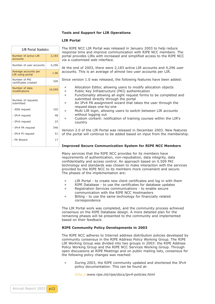#### **Tools and Support for LIR Operations**

#### **LIR Portal**

| <b>LIR Portal Statistics</b>             |        |  |  |  |  |
|------------------------------------------|--------|--|--|--|--|
| Number of active LIR<br>accounts         | 2,183  |  |  |  |  |
| Number of user accounts                  | 4,296  |  |  |  |  |
| Average accounts per<br>LIR using portal | 1.96   |  |  |  |  |
| Number of PKI<br>certificates created    | 326    |  |  |  |  |
| Number of data<br>modifications          | 10,090 |  |  |  |  |
| Number of requests<br>submitted:         |        |  |  |  |  |
| - ASN request                            | 102    |  |  |  |  |
| - IPv4 request                           | 48     |  |  |  |  |
| - IPv6 request                           | 23     |  |  |  |  |
| - IPv4 PA request                        | 546    |  |  |  |  |
| - IPv4 PI request                        | 51     |  |  |  |  |
| - PA Wizard                              | 17     |  |  |  |  |
|                                          |        |  |  |  |  |

The RIPE NCC LIR Portal was released in January 2003 to help reduce response time and improve communication with RIPE NCC members. The portal provides LIRs with increased and simplified access to the RIPE NCC via a customised web interface.

At the end of 2003, there were 2,183 active LIR accounts and 4,296 user accounts. This is an average of almost two user accounts per LIR.

Since version 1.0 was released, the following features have been added:

- **•** Allocation Editor, allowing users to modify allocation objects
- **•** Public Key Infrastructure (PKI) authentication
- **•** Functionality allowing all eight request forms to be completed and submitted directly through the portal
- **•** An IPv4 PA assignment wizard that takes the user through the request steps one-by-one
- **•** Multi LIR login, allowing users to switch between LIR accounts without logging out
- **•** Custom content: notification of training courses within the LIR's country

Version 2.0 of the LIR Portal was released in December 2003. New features of the portal will continue to be added based on input from the membership.

#### **Improved Secure Communication System for RIPE NCC Members**

Many services that the RIPE NCC provides for its members have requirements of authentication, non-repudiation, data integrity, data confidentiality and access control. An approach based on X.509 PKI technology and standards was chosen to make interaction with the services provided by the RIPE NCC to its members more convenient and secure. The phases of the implementation are:

- **•** LIR Portal to create new client certificates and log in with them
- **•** RIPE Database to use the certificates for database updates
- **•** Registration Services communications to enable secure communication with the RIPE NCC Hostmasters
- **•** Billing to use the same technology for financially related correspondence

The LIR Portal work was completed, and the community process achieved consensus on the RIPE Database design. A more detailed plan for the remaining phases will be presented to the community and implemented based on their feedback.

#### **RIPE Community Policy Developments in 2003**

The RIPE NCC adheres to Internet address distribution policies developed by community consensus in the RIPE Address Policy Working Group. The RIPE LIR Working Group was divided into two groups in 2003: the RIPE Address Policy Working Group and the RIPE NCC Services Working Group. Through open discussions at RIPE Meetings and on public mailing lists, consensus for the following policy changes was reached:

**•** During 2003, the RIPE community updated and shortened the IPv4 policy documentation. This can be found at:

*http:// http://www.ripe.int/ripe/docs/ipv4-policies.html*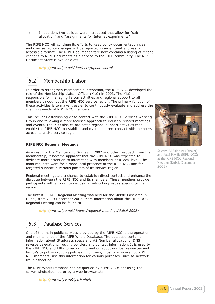<span id="page-13-1"></span>**•** In addition, two policies were introduced that allow for "suballocation" and "assignments for Internet experiments".

<span id="page-13-0"></span>The RIPE NCC will continue its efforts to keep policy documentation clear and concise. Policy changes will be reported in an efficient and easily accessible format. The RIPE Document Store now contains a listing of recent changes to RIPE Documents as a service to the RIPE community. The RIPE Document Store is available at:

*http:// http://www.ripe.net/ripe/docs/updates.html* 

### 5.2 Membership Liaison

In order to strengthen membership interaction, the RIPE NCC developed the role of the Membership Liaison Officer (MLO) in 2003. The MLO is responsible for managing liaison activities and regional support to all members throughout the RIPE NCC service region. The primary function of these activities is to make it easier to continuously evaluate and address the changing needs of RIPE NCC members.

This includes establishing close contact with the RIPE NCC Services Working Group and following a more focused approach to industry-related meetings and events. The MLO also co-ordinates regional support activities that enable the RIPE NCC to establish and maintain direct contact with members across its entire service region.

#### **RIPE NCC Regional Meetings**

As a result of the Membership Survey in 2002 and other feedback from the membership, it became apparent that the RIPE NCC was expected to dedicate more attention to interacting with members at a local level. The main requests were for a more local presence of the RIPE NCC and for targeted support in various pockets of its service region.

Regional meetings are a chance to establish direct contact and enhance the dialogue between the RIPE NCC and its members. These meetings provide participants with a forum to discuss IP networking issues specific to their region.

The first RIPE NCC Regional Meeting was held for the Middle East area in Dubai, from 7 - 9 December 2003. More information about this RIPE NCC Regional Meeting can be found at:

*http:// http://www.ripe.net/ripencc/regional-meetings/dubai-2003/*

### 5.3 Database Services

One of the main public services provided by the RIPE NCC is the operation and maintenance of the RIPE Whois Database. The database contains information about IP address space and AS Number allocations; DNS reverse delegations; routing policies; and contact information. It is used by the RIPE NCC and LIRs to record information about number resources and by ISPs to publish routing policies. End Users, most of who are not RIPE NCC members, use this information for various purposes, such as network troubleshooting.

The RIPE Whois Database can be queried by a WHOIS client using the server whois.ripe.net, or by a web browser at:

*http:// http://www.ripe.net/perl/whois*



Saleem Al-Balooshi (Etisalat) and Axel Pawlik (RIPE NCC) at the RIPE NCC Regional Meeting (Dubai, December 2003)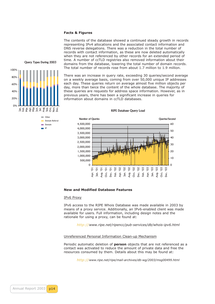#### **Facts & Figures**

The contents of the database showed a continued steady growth in records representing IPv4 allocations and the associated contact information and DNS reverse delegations. There was a reduction in the total number of records with contact information, as these are now deleted automatically when they are not referenced by other records for an extended period of time. A number of ccTLD registries also removed information about their domains from the database, lowering the total number of domain records. The total number of records rose from about 1.7 million to 1.9 million.

Query Types During 2003

0% 20% 40% 60% 80% 100% Other Domain Referral Domain IP Jan. Feb. Mar. Apr. May Jun. Jul. Aug. Sep. Oct. Nov. Dec.

There was an increase in query rate, exceeding 30 queries/second average on a weekly average basis, coming from over 50,000 unique IP addresses each day. These queries return on average almost five million objects per day, more than twice the content of the whole database. The majority of these queries are requests for address space information. However, as in previous years, there has been a significant increase in queries for information about domains in ccTLD databases.





#### **New and Modified Database Features**

#### IPv6 Proxy

IPv6 access to the RIPE Whois Database was made available in 2003 by means of a proxy service. Additionally, an IPv6-enabled client was made available for users. Full information, including design notes and the rationale for using a proxy, can be found at:

*http:// http://www.ripe.net/ripencc/pub-services/db/whois-ipv6.html*

#### Unreferenced Personal Information Clean-up Mechanism

Periodic [automa](http://)tic deletion of **person** [objects that are not referenced](http://www.ripe.net/ripencc/pub-services/db/whois-ipv6.html) as a contact was activated to reduce the amount of private data and free the resources consumed by them. Details about this may be found at:

*http:// http://www.ripe.net/ripe/mail-archives/db-wg/2003/msg00499.html*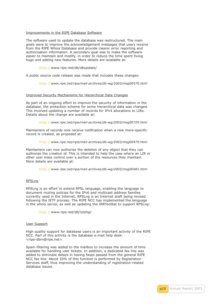#### Improvements in the RIPE Database Software

The software used to update the database was restructured. The main goals were to improve the acknowledgement messages that users receive from the RIPE Whois Database and provide clearer error reporting and authorisation information. A secondary goal was to make the software easier to maintain and modify, in order to reduce the time spent fixing bugs and adding new features. More details are available at:

#### *http:// http://www.ripe.net/db/dbupdate/*

A public source code release was made that includes these changes:

*http:// [http://www.ripe.net/ripe/mail-archiv](http://www.ripe.net/db/dbupdate/)es/db-wg/2003/msg00570.html*

#### Improved Security Mechanisms for Hierarchical Data Changes

As part [of an o](http://)[ngoing effort to improve the security of information in the](http://www.ripe.net/ripe/mail-archives/db-wg/2003/msg00570.html) database, the protection scheme for some hierarchical data was changed. This involved updating a number of records for IPv4 allocations to LIRs. Details about the change are available at:

#### *http:// http://www.ripe.net/ripe/mail-archives/db-wg/2003/msg00729.html*

Maintainers of records now receive notification when a new more-specific record is created, as proposed at:

#### *<http://> [http://www.ripe.net/ripe/mail-archives/db-wg/2003/msg00479.html](http://www.ripe.net/ripe/mail-archives/db-wg/2003/msg00729.html)*

Maintainers can now authorise the deletion of any object that they can authorise the creation of. This is intended to help the case where an LIR or other u[ser loses control over a portion of the resources they maintain.](http://www.ripe.net/ripe/mail-archives/db-wg/2003/msg00479.html) More d[etails are](http://) available at:

*http:// http://www.ripe.net/ripe/mail-archives/db-wg/2003/msg00481.html*

#### RPSLng

RPSLng [is an e](http://)[ffort to extend RPSL language, enabling the language to](http://www.ripe.net/ripe/mail-archives/db-wg/2003/msg00481.html) document routing policies for the IPv6 and multicast address families currently used in the Internet. RPSLng is an Internet draft being revised following the IETF process. The RIPE NCC has implemented the language in the whois server, as well as updating the IRRToolSet to support RPSLng:

*http:// http://www.ripe.net/db/rpslng/*

#### User Support

High qu[ality su](http://)[pport for database users](http://www.ripe.net/db/rpslng/) is an important activity of the RIPE NCC. Part of this activity is the database e-mail help desk: <ripe-dbm@ripe.net>.

Spam filtering was added to the mailbox to increase the amount of time available for handling user tickets. In addition, a dedicated fax line was added to eliminate delays in having faxes passed from the general RIPE NCC fax line. About 20% of this function is performed by Registration Services staff, thus improving the understanding of registration-related database issues.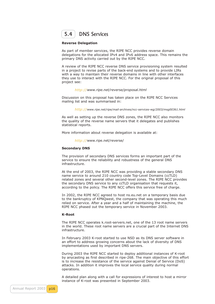<span id="page-16-0"></span>

#### **Reverse Delegation**

As part of member services, the RIPE NCC provides reverse domain delegations for the allocated IPv4 and IPv6 address space. This remains the primary DNS activity carried out by the RIPE NCC.

A review of the RIPE NCC reverse DNS service provisioning system resulted in a project to revise parts of the back-end systems and to provide LIRs with a way to maintain their reverse domains in line with other interfaces they use to interact with the RIPE NCC. For the original proposal of this project see:

*http:// http://www.ripe.net/reverse/proposal.html*

Discussion on this proposal has taken place on the RIPE NCC Services mailing list and was summarised in:

*<http://> [http://www.ripe.net/ripe/mail-archives/ncc-service](http://www.ripe.net/reverse/proposal.html)s-wg/2003/msg00361.html* 

As well as setting up the reverse DNS zones, the RIPE NCC also monitors the quality of the reverse name servers that it delegates and publishes statistic[al reports.](http://www.ripe.net/ripe/mail-archives/ncc-services-wg/2003/msg00361.html)

More information about reverse delegation is available at:

*http:// http://*www.ripe.net/reverse/

#### **Secondary DNS**

The provision of secondary DNS services forms an important part of the service [t](http://www.ripe.net/reverse/)[o ensu](http://)[re the reliability and ro](http://www.ripe.net/reverse/)bustness of the general DNS infrastructure.

At the end of 2003, the RIPE NCC was providing a stable secondary DNS name service to around 210 country code Top-Level Domains (ccTLD) related zones and several other second-level zones. The RIPE NCC provides the secondary DNS service to any ccTLD organisation that requests it, according to the policy. The RIPE NCC offers this service free of charge.

In 2002, the RIPE NCC agreed to host ns.eu.net on a temporary basis due to the bankruptcy of KPNQwest, the company that was operating this much relied on service. After a year and a half of maintaining the machine, the RIPE NCC phased out the temporary service in November 2003.

#### **K-Root**

The RIPE NCC operates k.root-servers.net, one of the 13 root name servers in the world. These root name servers are a crucial part of the Internet DNS infrastructure.

In February 2003 K-root started to use NSD as its DNS server software in an effort to address growing concerns about the lack of diversity of DNS implementations used by important DNS servers.

During 2003 the RIPE NCC started to deploy additional instances of K-root by anycasting as first described in ripe-268. The main objective of this effort is to increase the resistance of the service against Denial of Service (DoS) attacks. In addition it improves the local service quality during normal operations.

A detailed plan along with a call for expressions of interest to host a mirror instance of K-root was presented in September 2003.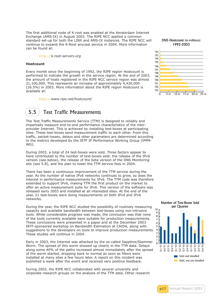<span id="page-17-0"></span>The first additional node of K-root was enabled at the Amsterdam Internet Exchange (AMS-IX) in August 2003. The RIPE NCC applied a common standard set-up for both the LINX and AMS-IX instances. The RIPE NCC will continue to expand the K-Root anycast service in 2004. More information can be found at:

*http:// http://k.root-servers.org*

#### **Hostcount**

Every month since the beginning of 1992, the RIPE region Hostcount is perform[ed to i](http://)[ndicate the growth](http://k.root-servers.org) in the service region. At the end of 2003, the amount of hosts registered in the RIPE NCC service region was almost 21,100,000. This represents an increase of approximately 4,420,000 (26.5%) in 2003. More information about the RIPE region Hostcount is available at:

*http:// http://www.ripe.net/hostcount/*



The Test Traffic Measurements Service (TTM) is designed to reliably and impartially measure end-to-end performance characteristics of the interprovider Internet. This is achieved by installing test-boxes at participating sites. These test-boxes send measurement traffic to each other. From this traffic, packet-losses, delays and other parameters are determined according to the metrics developed by the IETF IP Performance Working Group (IPPM-WG).

During 2003, a total of 24 test-boxes were sold. Three factors appear to have contributed to the number of text-boxes sold: the release of the IPv6 version (see below), the release of the beta version of the DNS Monitoring site (see 5.8), and the plan to lower the TTM service fees in 2004.

There has been a continuous improvement of the TTM service during the year. As the number of native IPv6 networks continues to grow, so does the interest in performance measurements for IPv6. The TTM code was therefore extended to support IPv6, making TTM the first product on the market to offer an active measurement suite for IPv6. This version of the software was released early 2003 and installed at all interested sites. At the end of the year, 21 test-boxes were doing measurements on both IPv4 and IPv6 networks.

During the year, the RIPE NCC studied the possibility of routinely measuring capacity and available bandwidth between test-boxes using non-intrusive tools. While considerable progress was made, the conclusion was that none of the tools currently available were suitable for production measurements. These conclusions were presented in a paper and at the December 2003 IRTF-sponsored workshop on Bandwidth Estimation at CAIDA, along with suggestions to the developers on tools to improve production measurements. These studies will continue in 2004.

Early in 2003, the Internet was attacked by the so-called Sapphire/Slammer Worm. The spread of this worm showed up clearly in the TTM data. Delays along some 40% of the paths increased almost immediately after the spread of the worm started, dropping back to normal as soon as filters were installed at many sites a few hours later. A report on this incident was published a week after the event and received very positive feedback.

During 2003, the RIPE NCC collaborated with several university and corporate research groups on the analysis of the TTM data. Other research

DNS Hostcount (in millions) 1992-2003



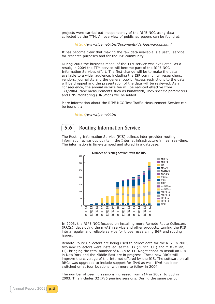<span id="page-18-0"></span>projects were carried out independently of the RIPE NCC using data collected by the TTM. An overview of published papers can be found at:

*http:// http://www.ripe.net/ttm/Documents/Various/various.html*

It has become clear that making the raw data available is a useful service for research purposes and for the ISP community.

During [2](http://www.ripe.net/ttm/Documents/Various/various.html)[003 th](http://)[e business model of the TTM service was evaluated.](http://www.ripe.net/ttm/Documents/Various/various.html) As a result, in 2004 the TTM service will become part of the RIPE NCC Information Services effort. The first change will be to make the data available to a wider audience, including the ISP community, researchers, vendors, journalists and the general public. Access restrictions to the data will be dropped and the presentation of the data will be reviewed. As a consequence, the annual service fee will be reduced effective from 1/1/2004. New measurements such as bandwidth, IPv6 specific parameters and DNS Monitoring (DNSMon) will be added.

More information about the RIPE NCC Test Traffic Measurement Service can be found at:

*http:// http://www.ripe.net/ttm* 

### **5.6** Routing Information Service

The Routing Information Service (RIS) collects inter-provider routing information at various points in the Internet infrastructure in near real-time. The information is time-stamped and stored in a database.





In 2003, the RIPE NCC focused on installing more Remote Route Collectors (RRCs), developing the myASn service and other products, turning the RIS into a regular and reliable service for those researching BGP and routing issues.

Remote Route Collectors are being used to collect data for the RIS. In 2003, two new collectors were installed, at the TIX (Zurich, CH) and MIX (Milan, IT), bringing the total number of RRCs to 11. Negotiations to install an RRC in New York and the Middle East are in progress. These new RRCs will improve the coverage of the Internet offered by the RIS. The software on all RRCs was upgraded to include support for IPv6 as well. IPv6 has been switched on at four locations, with more to follow in 2004.

The number of peering sessions increased from 214 in 2002, to 333 in 2003. This includes 32 IPv6 peering sessions. During the same period,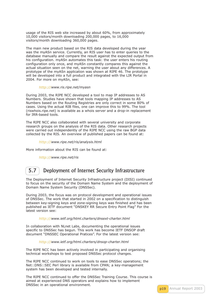<span id="page-19-0"></span>usage of the RIS web site increased by about 60%, from approximately 10,000 visitors/month downloading 200,000 pages, to 16,000 visitors/month downloading 360,000 pages.

The main new product based on the RIS data developed during the year was the myASn service. Currently, an RIS user has to enter queries to the database manually and compare the result against the expected output from his configuration. myASn automates this task: the user enters his routing configuration only once, and myASn constantly compares this against the actual situation seen on the net, warning the user about any differences. A prototype of the myASn application was shown at RIPE 46. The prototype will be developed into a full product and integrated with the LIR Portal in 2004. For more on myASn, see:

#### *http:// http://www.ris.ripe.net/myasn*

During 2003, the RIPE NCC developed a tool to map IP addresses to AS Numbers. Studies have shown that tools mapping IP addresses to AS Numbers based on the Routing Registries are only correct in some 80% of cases. [Using th](http://)[e actual RIB files, one c](http://www.ris.ripe.net/myasn)an improve this to 99%. The tool (riswhois.ripe.net) is available as a whois server and a drop-in replacement for IRR-based tools.

The RIPE NCC also collaborated with several university and corporate research groups on the analysis of the RIS data. Other research projects were carried out independently of the RIPE NCC using the raw BGP data collected by the RIS. An overview of published papers can be found at:

#### *http:// http://www.ripe.net/ris/analysis.html*

More information about the RIS can be found at:

*http:// [http://www.ripe.net/ris](http://www.ripe.net/ris/analysis.html)* 

### 5.7 Deployment of Internet Security Infrastructure

The Deployment of Internet Security Infrastructure project (DISI) continued to focus on the security of the Domain Name System and the deployment of Domain Name System Security (DNSSec).

During 2003, the focus was on protocol development and operational issues of DNSSec. The work that started in 2002 on a specification to distinguish between key-signing keys and zone-signing keys was finished and has been published as IETF document "DNSKEY RR Secure Entry Point Flag" For the latest version see:

#### *http:// http://www.ietf.org/html.charters/dnsext-charter.html*

In collaboration with NLnet Labs, documenting the operational issues specific to DNSSec has begun. This work has become IETF DNSOP draft docume[nt "DN](http://)[SSEC Operational Pratices". For the latest version](http://www.ietf.org/html.charters/dnsext-charter.html) see:

#### *http:// http://www.ietf.org/html.charters/dnsop-charter.html*

The RIPE NCC has been actively involved in participating and organising technical workshops to test proposed DNSSec protocol changes.

The RIP[E NCC](http://) [continued to work on tools to ease DNSSec ope](http://www.ietf.org/html.charters/dnsop-charter.html)rations; the Net::DNS::SEC Perl library is available from CPAN; a key-management system has been developed and tested internally.

The RIPE NCC continued to offer the DNSSec Training Course. This course is aimed at experienced DNS operators and explains how to implement DNSSec in an operational environment.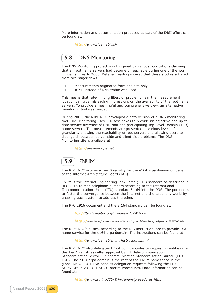<span id="page-20-0"></span>More information and documentation produced as part of the DISI effort can be found at:

*http:// http://www.ripe.net/disi/* 

### 5.8 **DNS Monitoring**

The DNS Monitoring project was triggered by various publications claiming that all root name servers had become unreachable during one of the worm incidents in early 2003. Detailed reading showed that these studies suffered from two major flaws:

- **•** Measurements originated from one site only
- **•** ICMP instead of DNS traffic was used

This means that rate-limiting filters or problems near the measurement location can give misleading impressions on the availability of the root name servers. To provide a meaningful and comprehensive view, an alternative monitoring tool was needed.

During 2003, the RIPE NCC developed a beta version of a DNS monitoring tool. DNS Monitoring uses TTM test-boxes to provide an objective and up-todate service overview of DNS root and participating Top-Level Domain (TLD) name servers. The measurements are presented at various levels of granularity showing the reachability of root servers and allowing users to distinguish between server-side and client-side problems. The DNS Monitoring site is available at:

*http:// http://dnsmon.ripe.net*



The RIPE NCC acts as a Tier 0 registry for the e164.arpa domain on behalf of the Internet Architecture Board (IAB).

ENUM is the Internet Engineering Task Force (IETF) standard as described in RFC 2916 to map telephone numbers according to the International Telecommunication Union (ITU) standard E.164 into the DNS. The purpose is to foster the convergence between the Internet and the telephony world by enabling each system to address the other.

The RFC 2916 document and the E.164 standard can be found at:

*ftp://ftp.rfc-editor.org/in-notes/rfc2916.txt*

*http:// http://www.itu.int/rec/recommendation.asp?type=folders&lang=e&parent=T-REC-E.164* 

The RIPE NCC's duties, according to the IAB instruction, are to provide DNS name s[e](ftp://ftp.rfc-editor.org/in-notes/rfc2916.txt)[rvice](ftp://) [for the e164.arpa domain. The instruc](ftp://ftp.rfc-editor.org/in-notes/rfc2916.txt)tions can be found at:

*http:// <http://>[www.ripe.net/enum/instructions.html](http://www.itu.int/rec/recommendation.asp?type=folders&lang=e&parent=T-REC-E.164)* 

The RIPE NCC also delegates E.164 country codes to requesting entities (i.e. the Tier 1 registries) after approval by ITU Telecommunication Standardization Sector - Telecommunication Standardization Bureau (ITU-T TSB). T[h](http://www.ripe.net/enum/instructions.html)[e e16](http://)[4.arpa domain is the root of the ENUM](http://www.ripe.net/enum/instructions.html) namespace in the global DNS. ITU-T TSB handles delegation requests following the ITU-T – Study Group 2 (ITU-T SG2) Interim Procedures. More information can be found at:

*http:// http://www.itu.int/ITU-T/inr/enum/procedures.html*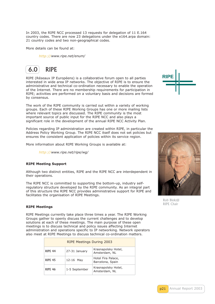<span id="page-21-0"></span>In 2003, the RIPE NCC processed 13 requests for delegation of 11 E.164 country codes. There are now 23 delegations under the e164.arpa domain: 21 country codes and two non-geographical codes.

More details can be found at:

*http:// http://www.ripe.net/enum/* 



RIPE (Réseaux IP Européens) is a collaborative forum open to all parties interested in wide area IP networks. The objective of RIPE is to ensure the administrative and technical co-ordination necessary to enable the operation of the Internet. There are no membership requirements for participation in RIPE; activities are performed on a voluntary basis and decisions are formed by consensus.

The work of the RIPE community is carried out within a variety of working groups. Each of these RIPE Working Groups has one or more mailing lists where relevant topics are discussed. The RIPE community is the most important source of public input for the RIPE NCC and also plays a significant role in the development of the annual RIPE NCC Activity Plan.

Policies regarding IP administration are created within RIPE, in particular the Address Policy Working Group. The RIPE NCC itself does not set policies but ensures the consistent application of policies within its service region.

More information about RIPE Working Groups is available at:

*http:// http://www.ripe.net/ripe/wg/* 

#### **RIPE Meeting Support**

Althoug[h two d](http://)[istinct entities, RIPE an](http://www.ripe.net/ripe/wg/)d the RIPE NCC are interdependent in their operations.

The RIPE NCC is committed to supporting the bottom-up, industry selfregulatory structure developed by the RIPE community. As an integral part of this structure the RIPE NCC provides administrative support for RIPE and facilitates the organisation of RIPE Meetings.

#### **RIPE Meetings**

RIPE Meetings currently take place three times a year. The RIPE Working Groups gather to openly discuss the current challenges and to develop solutions at each of these meetings. The main purpose of these open meetings is to discuss technical and policy issues affecting Internet administration and operations specific to IP networking. Network operators also meet at RIPE Meetings to discuss technical co-ordination matters.

| <b>RIPE Meetings During 2003</b>                                        |               |                                        |  |  |  |
|-------------------------------------------------------------------------|---------------|----------------------------------------|--|--|--|
| <b>RIPF 44</b>                                                          | 27-31 January | Krasnapolsky Hotel,<br>Amsterdam, NL   |  |  |  |
| <b>RIPE 45</b>                                                          | 12-16 May     | Hotel Fira Palace,<br>Barcelona, Spain |  |  |  |
| Krasnapolsky Hotel,<br>1-5 September<br><b>RIPE 46</b><br>Amsterdam, NL |               |                                        |  |  |  |





Rob Blokzijl RIPE Chair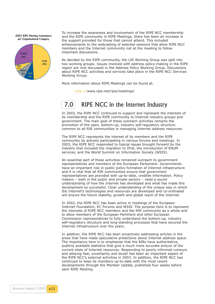2003 RIPE Meeting Attendance per Organisational Category



To increase the awareness and involvement of the RIPE NCC membership and the RIPE community in RIPE Meetings, there has been an increase in the support provided for those that cannot attend. This included enhancements to the webcasting of selected sessions that allow RIPE NCC members and the Internet community not at the meeting to follow important discussions.

As decided by the RIPE community, the LIR Working Group was split into two working groups. Issues involved with address policy-making in the RIPE region are now discussed in the Address Policy Working Group. Discussions about RIPE NCC activities and services take place in the RIPE NCC Services Working Group.

More information about RIPE Meetings can be found at:

*http:// http://www.ripe.net/ripe/meetings/* 

### 7.0[RI](http://)[PE NCC in the Inte](http://www.ripe.net/ripe/meetings/)rnet Industry

In 2003, the RIPE NCC continued to support and represent the interests of its membership and the RIPE community to Internet industry groups and government. The main goal of these outreach activities remains the promotion of the open, bottom-up, industry self-regulatory structure common to all RIR communities in managing Internet address resources.

The RIPE NCC represents the interest of its members and the RIPE community by actively participating in various forums and meetings. In 2003, the RIPE NCC responded to topical issues brought forward by the industry that included the migration to IPv6, the introduction of ENUM services, and the World Summit on Information Society (WSIS).

An essential part of these activities remained outreach to government representatives and members of the European Parliament. Governments have an important role in public policy formation of Internet infrastructure and it is vital that all RIR communities ensure that government representatives are provided with up-to-date, credible information. Policy makers – both in the public and private sectors – need a sound understanding of how the Internet has developed and what has made this development so successful. Clear understanding of the unique way in which the Internet's technologies and resources are developed and co-ordinated will ensure the future stability, growth and global reach of the Internet.

In 2003, the RIPE NCC has been active in meetings of the European Internet Foundation, EC Forums and WSIS. The purpose here is to represent the interests of RIPE NCC members and the RIR community as a whole and to allow members of the European Parliment and other European Commission representatives to fully understand the bottom-up, industry self-regulatory structure and long-standing processes that have secured the Internet infrastructure over the years.

In addition, the RIPE NCC has been proactively addressing articles in the press that have made speculative predictions about Internet address space. The importance here is to emphasise that the RIRs have authoritative, publicly available statistics that give a much more accurate picture of the current state of Internet resources. Responding to poorly informed rumours and allaying fear, uncertainty and doubt has been an important aspect of the RIPE NCC's external activities in 2003. In addition, the RIPE NCC has continued to keep its members up-to-date with the most recent developments through the Member Update, published four weeks before each RIPE Meeting.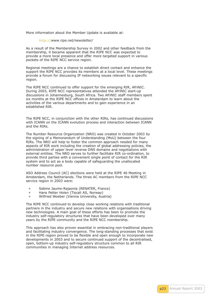More information about the Member Update is available at:

#### *http:// http://www.ripe.net/newsletter/*

As a result of the Membership Survey in 2002 and other feedback from the membership, it became apparent that the RIPE NCC was expected to provide a more local presence and offer more targeted support in various pockets [of the](http://) [RIPE NCC service region.](http://www.ripe.net/newsletter/) 

Regional meetings are a chance to establish direct contact and enhance the support the RIPE NCC provides its members at a local level. These meetings provide a forum for discussing IP networking issues relevant to a specific region.

The RIPE NCC continued to offer support for the emerging RIR, AfriNIC. During 2003, RIPE NCC representatives attended the AfriNIC start-up discussions in Johannesburg, South Africa. Two AfriNIC staff members spent six months at the RIPE NCC offices in Amsterdam to learn about the activities of the various departments and to gain experience in an established RIR.

The RIPE NCC, in conjunction with the other RIRs, has continued discussions with ICANN on the ICANN evolution process and interaction between ICANN and the RIRs.

The Number Resource Organization (NRO) was created in October 2003 by the signing of a Memorandum of Understanding (MoU) between the four RIRs. The NRO will help to foster the common approach needed for many aspects of RIR work including the creation of global addressing policies, the administration of upper level reverse DNS domains and negotiations with external entities. The NRO serves to further facilitate RIR co-ordination, to provide third parties with a convenient single point of contact for the RIR system and to act as a body capable of safeguarding the unallocated number resource pool.

ASO Address Council (AC) elections were held at the RIPE 46 Meeting in Amsterdam, the Netherlands. The three AC members from the RIPE NCC service region in 2003 were:

- **•** Sabine Jaume-Rajaonia (RENATER, France)
- **•** Hans Petter Holen (Tiscali AS, Norway)
- **•** Wilfried Woeber (Vienna University, Austria)

The RIPE NCC continued to develop close working relations with traditional partners in the industry and secure new relations with organisations driving new technologies. A main goal of these efforts has been to promote the industry self-regulatory structures that have been developed over many years by the RIPE community and the RIPE NCC membership.

This approach has also proven essential in embracing non-traditional players and facilitating industry convergence. The long-standing processes that exist in the RIPE region proved to be flexible and open enough to incorporate new developments in 2003 and to secure continued support of the decentralised, open, bottom-up industry self-regulatory structure common to all RIR communities in managing Internet address resources.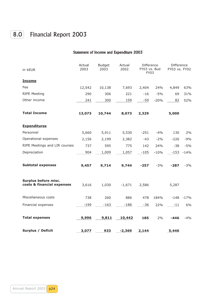## 8.0 Financial Report 2003

#### Statement of Income and Expenditure 2003

| in kEUR                                            | Actual<br>2003 | <b>Budget</b><br>2003 | Actual<br>2002 | Difference<br>FY03 vs. Bud<br>FY03 |        | Difference<br>FY03 vs. FY02 |        |
|----------------------------------------------------|----------------|-----------------------|----------------|------------------------------------|--------|-----------------------------|--------|
| <b>Income</b>                                      |                |                       |                |                                    |        |                             |        |
| Fee                                                | 12,542         | 10,138                | 7,693          | 2,404                              | 24%    | 4,849                       | 63%    |
| <b>RIPE Meeting</b>                                | 290            | 306                   | 221            | $-16$                              | $-5%$  | 69                          | 31%    |
| Other income                                       | 241            | 300                   | 159            | $-59$                              | $-20%$ | 82                          | 52%    |
| <b>Total Income</b>                                | 13,073         | 10,744                | 8,073          | 2,329                              |        | 5,000                       |        |
| <b>Expenditures</b>                                |                |                       |                |                                    |        |                             |        |
| Personnel                                          | 5,660          | 5,911                 | 5,530          | $-251$                             | $-4%$  | 130                         | 2%     |
| Operational expenses                               | 2,156          | 2,199                 | 2,382          | $-43$                              | $-2%$  | $-226$                      | $-9%$  |
| RIPE Meetings and LIR courses                      | 737            | 595                   | 775            | 142                                | 24%    | $-38$                       | $-5%$  |
| Depreciation                                       | 904            | 1,009                 | 1,057          | $-105$                             | $-10%$ | $-153$                      | $-14%$ |
| <b>Subtotal expenses</b>                           | 9,457          | 9,714                 | 9,744          | $-257$                             | $-3%$  | $-287$                      | $-3%$  |
| Surplus before misc.<br>costs & financial expenses | 3,616          | 1,030                 | $-1,671$       | 2,586                              |        | 5,287                       |        |
| Miscellaneous costs                                | 738            | 260                   | 886            | 478                                | 184%   | $-148$                      | $-17%$ |
| Financial expenses                                 | $-199$         | $-163$                | $-188$         | $-36$                              | 22%    | $-11$                       | 6%     |
| <b>Total expenses</b>                              | 9,996          | 9,811                 | 10,442         | 185                                | 2%     | $-446$                      | $-4%$  |
| <b>Surplus / Deficit</b>                           | 3,077          | 933                   | $-2,369$       | 2,144                              |        | 5,446                       |        |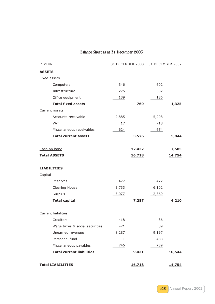#### Balance Sheet as at 31 December 2003

| in kEUR                          |              |        | 31 DECEMBER 2003 31 DECEMBER 2002 |        |
|----------------------------------|--------------|--------|-----------------------------------|--------|
| <b>ASSETS</b>                    |              |        |                                   |        |
| <b>Fixed assets</b>              |              |        |                                   |        |
| Computers                        | 346          |        | 602                               |        |
| Infrastructure                   | 275          |        | 537                               |        |
| Office equipment                 | 139          |        | 186                               |        |
| <b>Total fixed assets</b>        |              | 760    |                                   | 1,325  |
| Current assets                   |              |        |                                   |        |
| Accounts receivable              | 2,885        |        | 5,208                             |        |
| <b>VAT</b>                       | 17           |        | $-18$                             |        |
| Miscellaneous receivables        | 624          |        | 654                               |        |
| <b>Total current assets</b>      |              | 3,526  |                                   | 5,844  |
| Cash on hand                     |              | 12,432 |                                   | 7,585  |
| <b>Total ASSETS</b>              |              | 16,718 |                                   | 14,754 |
| <b>LIABILITIES</b>               |              |        |                                   |        |
| Capital                          |              |        |                                   |        |
| Reserves                         | 477          |        | 477                               |        |
| Clearing House                   | 3,733        |        | 6,102                             |        |
| Surplus                          | 3,077        |        | $-2,369$                          |        |
| <b>Total capital</b>             |              | 7,287  |                                   | 4,210  |
| <b>Current liabilities</b>       |              |        |                                   |        |
| Creditors                        | 418          |        | 36                                |        |
| Wage taxes & social securities   | $-21$        |        | 89                                |        |
| Unearned revenues                | 8,287        |        | 9,197                             |        |
| Personnel fund                   | $\mathbf{1}$ |        | 483                               |        |
| Miscellaneous payables           | 746          |        | 739                               |        |
| <b>Total current liabilities</b> |              | 9,431  |                                   | 10,544 |
| <b>Total LIABILITIES</b>         |              | 16,718 |                                   | 14,754 |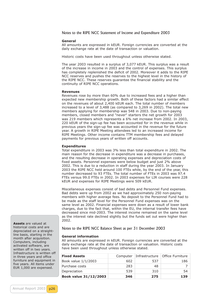Notes to the RIPE NCC Statement of Income and Expenditure 2003

#### **General**

All amounts are expressed in kEUR. Foreign currencies are converted at the daily exchange rate at the date of transaction or valuation.

Historic costs have been used throughout unless otherwise stated.

The year 2003 resulted in a surplus of 3,077 kEUR. This surplus was a result of the increase in income in 2003 and the control of expenses. This surplus has completely replenished the deficit of 2002. Moreover it adds to the RIPE NCC reserves and pushes the reserves to the highest level in the history of the RIPE NCC. These reserves guarantee the financial stability and the continuity of RIPE NCC operations.

#### **Revenues**

Revenues rose by more than 60% due to increased fees and a higher than expected new membership growth. Both of these factors had a similar effect on the revenues of about 2,400 kEUR each. The total number of members increased to a level of 3,488 (as compared to 3,269 in 2002). The total new members applying for membership was 548 in 2003. Due to non-paying members, closed members and "never" starters the net growth for 2003 was 219 members which represents a 6% net increase from 2002. In 2003, 220 kEUR of the sign-up fee has been accounted for in the revenue while in previous years the sign-up fee was accounted in the revenue for the future year. A growth in RIPE Meeting attendees led to an increased income for RIPE Meetings. Other income contains TTM membership fees and delayed payments for previous years of written off accounts.

#### **Expenditures**

Total expenditure in 2003 was 3% less than total expenditure in 2002. The main reason for the decrease in expenditure was a decrease in purchases, and the resulting decrease in operating expenses and depreciation costs of fixed assets. Personnel expenses were below budget and just 2% above 2002. This is due to a reduction in staff during the year 2003. In January 2003 the RIPE NCC held around 100 FTEs while, by the end of the year, this number decreased to 93 FTEs. The total number of FTEs in 2003 was 97.4 FTEs versus 99.0 FTEs in 2002. In 2003 expenses for LIR courses were 228 kEUR and expenses for RIPE Meetings were 509 kEUR.

Miscellaneous expenses consist of bad debts and Personnel Fund expenses. Bad debts were up from 2002 as we had approximately 250 non-paying members with higher average fees. No deposit to the Personnel Fund had to be made as the staff level for the Personnel Fund expenses was on the same level as 2002. Financial expenses were down as a result of lower bank charges, due to the fact that, within the EU, the internal transfer fees have decreased since mid-2003. The interest income remained on the same level as the interest rate declined slightly but the funds set out were higher than 2002.

Notes to the RIPE NCC Balance Sheet as per 31 December 2003

#### **General information**

All amounts are expressed in kEUR. Foreign currencies are converted at the daily exchange rate at the date of transaction or valuation. Historic costs have been used throughout unless otherwise stated.

| <b>Fixed Assets</b>          |     |     | Computer Infrastructure Office Furniture |
|------------------------------|-----|-----|------------------------------------------|
| Book value 1/1/2003          | 602 | 537 | 186                                      |
| Purchase costs               | 283 | 48  | 7 <sup>1</sup>                           |
| Depreciation                 | 539 | 310 | 54 l                                     |
| <b>Book value 31/12/2003</b> | 346 | 275 | 139                                      |

**Assets** are valued at historical costs and are depreciated on a straightline basis, starting in the month after acquisition. Computers, including activated software, are written off in two years. Infrastructure is written off in three years and office furniture and equipment in five years. All items under EUR 1,000 are expensed.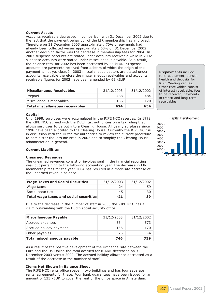#### **Current Assets**

Accounts receivable decreased in comparison with 31 December 2002 due to the fact that the payment behaviour of the LIR membership has improved. Therefore on 31 December 2003 approximately 70% of payments had already been collected versus approximately 60% on 31 December 2002. Another declining factor was the decrease in membership fees for 2004. In 2003 suspense accounts are stated under accounts receivable while in 2002 suspense accounts were stated under miscellaneous payable. As a result, the balance total for 2002 has been decreased by 35 kEUR. Suspense accounts are payments received from debtors of which the origin of the payment is not yet clear. In 2003 miscellaneous debtors are stated under accounts receivable therefore the miscellaneous receivables and accounts receivable figures for 2002 have been amended by 69 kEUR.

| <b>Miscellaneous Receivables</b> | 31/12/2003 | 31/12/2002 |
|----------------------------------|------------|------------|
| Prepaid                          | 488        | 484        |
| Miscellaneous receivables        | 136        | 170        |
| Total miscellaneous receivables  | 624        | 654        |

#### **Capital**

Until 1998, surpluses were accumulated in the RIPE NCC reserves. In 1998, the RIPE NCC agreed with the Dutch tax authorities on a tax ruling that allows surpluses to be put into a Clearing House. All yearly surpluses since 1998 have been allocated to the Clearing House. Currently the RIPE NCC is in discussion with the Dutch tax authorities to review the current procedure to administer the loss incurred in 2002 and to simplify the Clearing House administration in general.

#### **Current Liabilities**

#### **Unearned Revenues**

The unearned revenues consist of invoices sent in the financial reporting year but pertaining to the following accounting year. The decrease in LIR membership fees for the year 2004 has resulted in a moderate decrease of the unearned revenue balance.

| <b>Wage Taxes and Social Securities</b> | 31/12/2003 | 31/12/2002 |
|-----------------------------------------|------------|------------|
| Wage taxes                              | 24         | 59         |
| Social securities                       | $-45$      | 30 I       |
| Total wage taxes and social securities  | $-21$      | 89         |

Due to the decrease in the number of staff in 2003 the RIPE NCC has a claim outstanding with the Dutch social security office.

| <b>Miscellaneous Payable</b> | 31/12/2003 | 31/12/2002 |
|------------------------------|------------|------------|
| Accrued expenses             | 564        | 573        |
| Accrued holiday payment      | 156        | 170        |
| Other payables               | 26         | -4         |
| Total miscellaneous payable  | 746        | 739        |

As a result of the positive development of the exchange rate between the Euro and the US Dollar, the total accrued for ICANN decreased on 31 December 2003 versus 2002. The accrued holiday allowance decreased as a result of the decrease in the number of staff.

#### **Items Not Shown in Balance Sheet**

The RIPE NCC rents office space in two buildings and has four separate rental agreements for these. Four bank guarantees have been issued for an amount of 135 kEUR to cover the rent of the office space in Amsterdam.

**Prepayments** include rent, equipment, pension, health and deposits for RIPE Meeting venues. Other receivables consist of interest receivable, fees to be received, payments in transit and long-term receivables.

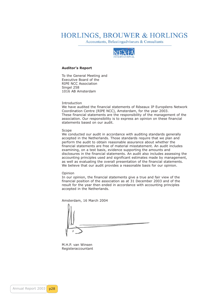### **HORLINGS, BROUWER & HORLINGS**

Accountants, Belastingadviseurs & Consultants



#### **Auditor's Report**

To the General Meeting and Executive Board of the RIPE NCC Association Singel 258 1016 AB Amsterdam

Introduction

We have audited the financial statements of Réseaux IP Européens Network Coordination Centre (RIPE NCC), Amsterdam, for the year 2003. These financial statements are the responsibility of the management of the association. Our responsibility is to express an opinion on these financial statements based on our audit.

#### Scope

We conducted our audit in accordance with auditing standards generally accepted in the Netherlands. Those standards require that we plan and perform the audit to obtain reasonable assurance about whether the financial statements are free of material misstatement. An audit includes examining, on a test basis, evidence supporting the amounts and disclosures in the financial statements. An audit also includes assessing the accounting principles used and significant estimates made by management, as well as evaluating the overall presentation of the financial statements. We believe that our audit provides a reasonable basis for our opinion.

#### Opinion

In our opinion, the financial statements give a true and fair view of the financial position of the association as at 31 December 2003 and of the result for the year then ended in accordance with accounting principles accepted in the Netherlands.

Amsterdam, 16 March 2004

M.H.P. van Winsen Registeraccountant